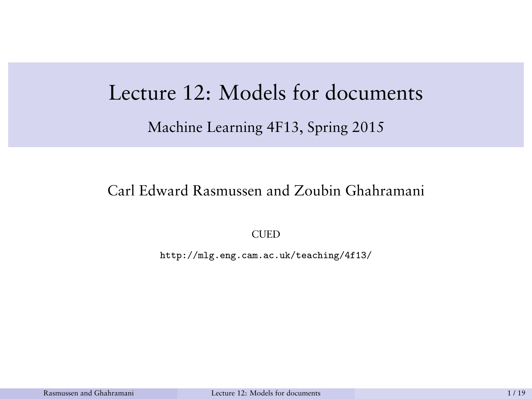# <span id="page-0-0"></span>Lecture 12: Models for documents

Machine Learning 4F13, Spring 2015

#### Carl Edward Rasmussen and Zoubin Ghahramani

**CUED** 

http://mlg.eng.cam.ac.uk/teaching/4f13/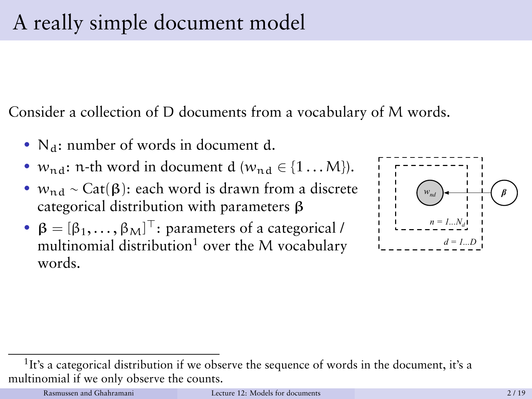Consider a collection of D documents from a vocabulary of M words.

- $N_d$ : number of words in document d.
- $w_{\text{nd}}$ : n-th word in document d ( $w_{\text{nd}} \in \{1 \dots M\}$ ).
- $w_{\text{nd}} \sim \text{Cat}(\beta)$ : each word is drawn from a discrete categorical distribution with parameters β
- $\beta = [\beta_1, \ldots, \beta_M]^\top$ : parameters of a categorical / multinomial distribution<sup>1</sup> over the M vocabulary words.



<sup>&</sup>lt;sup>1</sup>It's a categorical distribution if we observe the sequence of words in the document, it's a multinomial if we only observe the counts.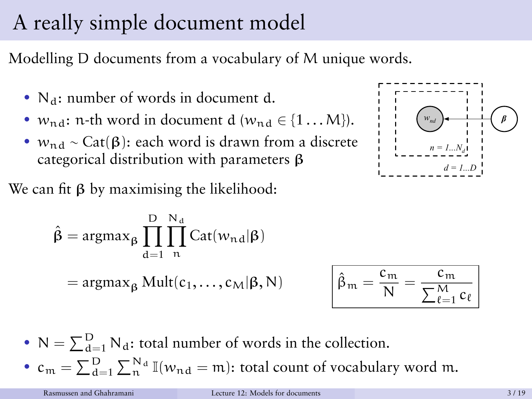# A really simple document model

Modelling D documents from a vocabulary of M unique words.

- $N_d$ : number of words in document d.
- $w_{\text{nd}}$ : n-th word in document d ( $w_{\text{nd}} \in \{1 \dots M\}$ ).
- $w_{\text{nd}} \sim \text{Cat}(\beta)$ : each word is drawn from a discrete categorical distribution with parameters β

We can fit  $β$  by maximising the likelihood:

$$
\hat{\beta} = \underset{\alpha = 1}{\operatorname{argmax}} \underset{n}{\beta} \prod_{d=1}^{D} \prod_{n}^{N_d} \operatorname{Cat}(w_{nd} | \beta)
$$
\n
$$
= \underset{\beta}{\operatorname{argmax}} \underset{\beta}{\operatorname{Mult}}(c_1, \dots, c_M | \beta, N) \qquad \boxed{\hat{\beta}_m} =
$$

$$
\begin{bmatrix}\n w_{nd} \\
\vdots \\
w_{nd}\n\end{bmatrix}\n\begin{bmatrix}\n w_{nd} \\
\vdots \\
w_{nd}\n\end{bmatrix}\n\begin{bmatrix}\n \vdots \\
\vdots \\
\vdots \\
w_{nd}\n\end{bmatrix}\n\begin{bmatrix}\n \vdots \\
\vdots \\
w_{nd}\n\end{bmatrix}
$$

$$
\hat{\beta}_m = \frac{c_m}{N} = \frac{c_m}{\sum_{\ell=1}^M c_\ell}
$$

•  $N = \sum_{d=1}^{D} N_d$ : total number of words in the collection. •  $c_m = \sum_{d=1}^{D} \sum_{n=1}^{N_d} \mathbb{I}(w_{nd} = m)$ : total count of vocabulary word m.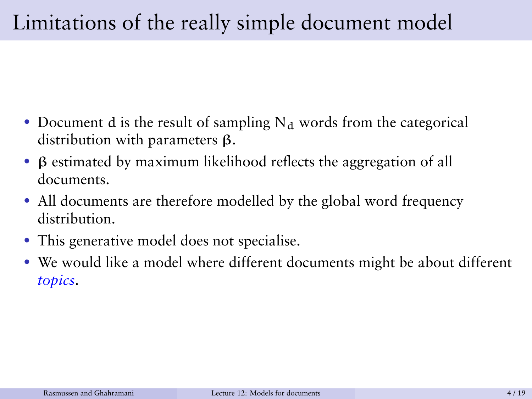# Limitations of the really simple document model

- Document d is the result of sampling  $N_d$  words from the categorical distribution with parameters β.
- β estimated by maximum likelihood reflects the aggregation of all documents.
- All documents are therefore modelled by the global word frequency distribution.
- This generative model does not specialise.
- We would like a model where different documents might be about different *topics*.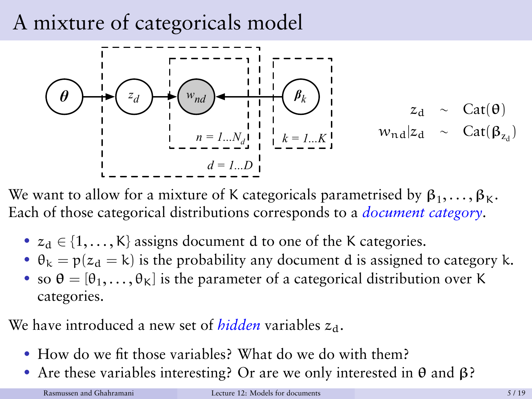### A mixture of categoricals model



We want to allow for a mixture of K categoricals parametrised by  $\beta_1,\ldots,\beta_K.$ Each of those categorical distributions corresponds to a *document category*.

- $z_d \in \{1, \ldots, K\}$  assigns document d to one of the K categories.
- $\theta_k = p(z_d = k)$  is the probability any document d is assigned to category k.
- so  $\theta = [\theta_1, \dots, \theta_K]$  is the parameter of a categorical distribution over K categories.

We have introduced a new set of *hidden* variables  $z_d$ .

- How do we fit those variables? What do we do with them?
- Are these variables interesting? Or are we only interested in  $\theta$  and  $\beta$ ?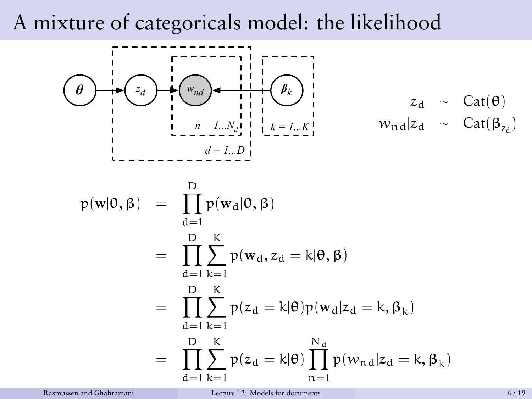### A mixture of categoricals model: the likelihood



$$
z_d \sim \text{Cat}(\theta)
$$
  

$$
w_{nd}|z_d \sim \text{Cat}(\beta_{z_d})
$$

$$
p(\mathbf{w}|\theta, \beta) = \prod_{d=1}^{D} p(\mathbf{w}_d|\theta, \beta)
$$
  
= 
$$
\prod_{d=1}^{D} \sum_{k=1}^{K} p(\mathbf{w}_d, z_d = k|\theta, \beta)
$$
  
= 
$$
\prod_{d=1}^{D} \sum_{k=1}^{K} p(z_d = k|\theta) p(\mathbf{w}_d|z_d = k, \beta_k)
$$
  
= 
$$
\prod_{d=1}^{D} \sum_{k=1}^{K} p(z_d = k|\theta) \prod_{n=1}^{N_d} p(w_{nd}|z_d = k, \beta_k)
$$

Rasmussen and Ghahramani [Lecture 12: Models for documents](#page-0-0) 6 / 19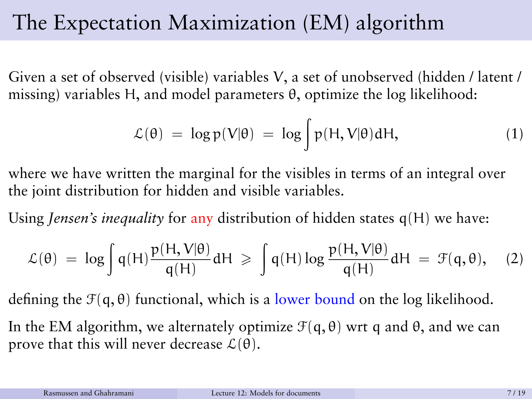## The Expectation Maximization (EM) algorithm

Given a set of observed (visible) variables V, a set of unobserved (hidden / latent / missing) variables H, and model parameters θ, optimize the log likelihood:

$$
\mathcal{L}(\theta) = \log p(V|\theta) = \log \int p(H, V|\theta) dH,
$$
 (1)

where we have written the marginal for the visibles in terms of an integral over the joint distribution for hidden and visible variables.

Using *Jensen's inequality* for any distribution of hidden states q(H) we have:

$$
\mathcal{L}(\theta) \ = \ \log \int q(H) \frac{p(H, V|\theta)}{q(H)} dH \ \geqslant \ \int q(H) \log \frac{p(H, V|\theta)}{q(H)} dH \ = \ \mathcal{F}(q, \theta), \quad (2)
$$

defining the  $\mathcal{F}(q, \theta)$  functional, which is a lower bound on the log likelihood.

In the EM algorithm, we alternately optimize  $\mathcal{F}(q, \theta)$  wrt q and  $\theta$ , and we can prove that this will never decrease  $\mathcal{L}(\theta)$ .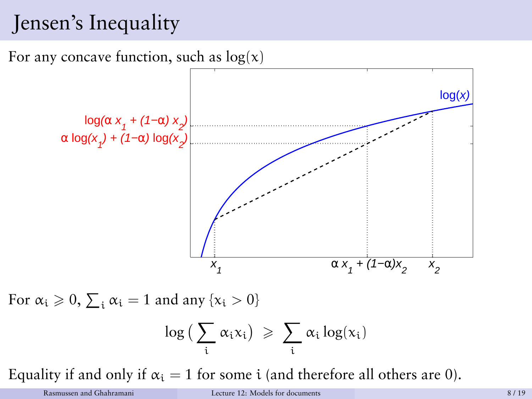# Jensen's Inequality

For any concave function, such as  $log(x)$ 



For  $\alpha_i \geqslant 0$ ,  $\sum_i \alpha_i = 1$  and any  $\{x_i > 0\}$ 

$$
\log\big(\sum_i \alpha_i x_i\big) \ \geqslant \ \sum_i \alpha_i \log(x_i)
$$

Equality if and only if  $\alpha_i = 1$  for some i (and therefore all others are 0).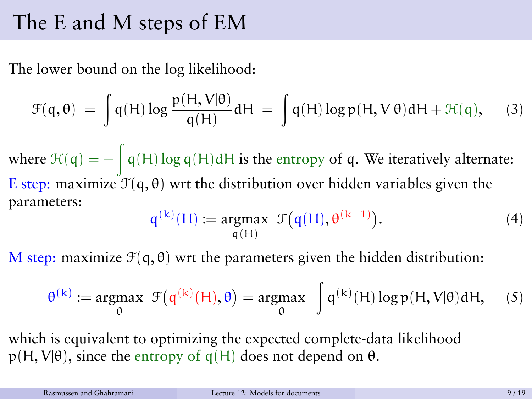#### The E and M steps of EM

The lower bound on the log likelihood:

$$
\mathcal{F}(\mathbf{q},\theta) = \int \mathbf{q}(\mathsf{H}) \log \frac{\mathbf{p}(\mathsf{H},\mathsf{V}|\theta)}{\mathbf{q}(\mathsf{H})} \mathbf{d}\mathsf{H} = \int \mathbf{q}(\mathsf{H}) \log \mathbf{p}(\mathsf{H},\mathsf{V}|\theta) \mathbf{d}\mathsf{H} + \mathcal{H}(\mathbf{q}), \quad (3)
$$

where  $\mathcal{H}(\mathsf{q}) = -\int \mathsf{q}(\mathsf{H}) \log \mathsf{q}(\mathsf{H}) \mathrm{d}\mathsf{H}$  is the entropy of  $\mathsf{q}.$  We iteratively alternate: E step: maximize  $\mathcal{F}(q, \theta)$  wrt the distribution over hidden variables given the parameters:

$$
q^{(k)}(H) := \underset{q(H)}{\operatorname{argmax}} \ \mathcal{F}(q(H), \theta^{(k-1)}). \tag{4}
$$

M step: maximize  $\mathcal{F}(q, \theta)$  wrt the parameters given the hidden distribution:

$$
\theta^{(k)} := \underset{\theta}{\text{argmax}} \ \mathcal{F}(q^{(k)}(H), \theta) = \underset{\theta}{\text{argmax}} \ \int q^{(k)}(H) \log p(H, V | \theta) dH, \quad (5)
$$

which is equivalent to optimizing the expected complete-data likelihood  $p(H, V|\theta)$ , since the entropy of q(H) does not depend on  $\theta$ .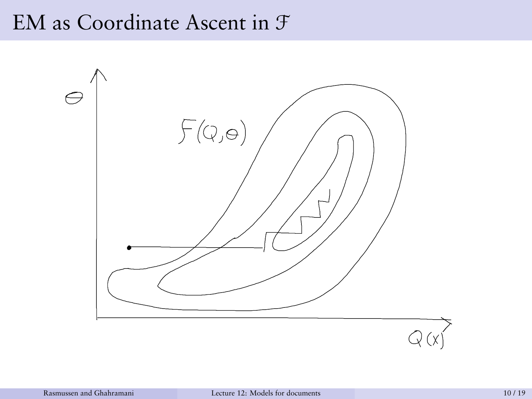#### EM as Coordinate Ascent in F

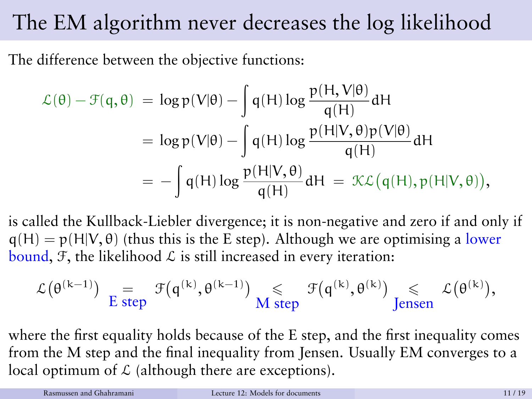## The EM algorithm never decreases the log likelihood

The difference between the objective functions:

$$
\mathcal{L}(\theta) - \mathcal{F}(q, \theta) = \log p(V|\theta) - \int q(H) \log \frac{p(H, V|\theta)}{q(H)} dH
$$
  
=  $\log p(V|\theta) - \int q(H) \log \frac{p(H|V, \theta)p(V|\theta)}{q(H)} dH$   
=  $-\int q(H) \log \frac{p(H|V, \theta)}{q(H)} dH = \mathcal{KL}(q(H), p(H|V, \theta)),$ 

is called the Kullback-Liebler divergence; it is non-negative and zero if and only if  $q(H) = p(H|V, \theta)$  (thus this is the E step). Although we are optimising a lower bound, F, the likelihood  $\mathcal L$  is still increased in every iteration:

$$
\mathcal{L}(\theta^{(k-1)}) \underset{\text{E step}}{=} \mathcal{F}(q^{(k)}, \theta^{(k-1)}) \underset{\text{M step}}{\leqslant} \mathcal{F}(q^{(k)}, \theta^{(k)}) \underset{\text{Jensen}}{\leqslant} \mathcal{L}(\theta^{(k)}),
$$

where the first equality holds because of the E step, and the first inequality comes from the M step and the final inequality from Jensen. Usually EM converges to a local optimum of  $\mathcal L$  (although there are exceptions).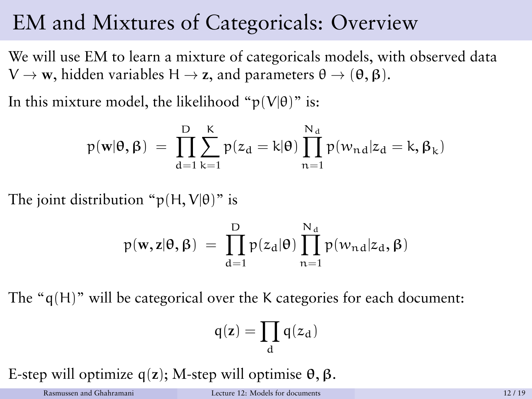#### EM and Mixtures of Categoricals: Overview

We will use EM to learn a mixture of categoricals models, with observed data  $V \rightarrow \mathbf{w}$ , hidden variables H  $\rightarrow$  **z**, and parameters  $\theta \rightarrow (\theta, \beta)$ .

In this mixture model, the likelihood " $p(V|\theta)$ " is:

$$
p(\mathbf{w}|\boldsymbol{\theta},\boldsymbol{\beta})\ =\ \prod_{d=1}^D\sum_{k=1}^K p(z_d=k|\boldsymbol{\theta})\prod_{n=1}^{N_d}p(w_{nd}|z_d=k,\boldsymbol{\beta}_k)
$$

The joint distribution " $p(H, V | \theta)$ " is

$$
p(\textbf{w},\textbf{z}|\boldsymbol{\theta},\boldsymbol{\beta})\ =\ \prod_{d=1}^D p(z_d|\boldsymbol{\theta})\prod_{n=1}^{N_d}p(w_{n\,d}|z_d,\boldsymbol{\beta})
$$

The "q(H)" will be categorical over the K categories for each document:

$$
\mathsf{q}(z)=\prod_d \mathsf{q}(z_d)
$$

E-step will optimize q(**z**); M-step will optimise θ, β.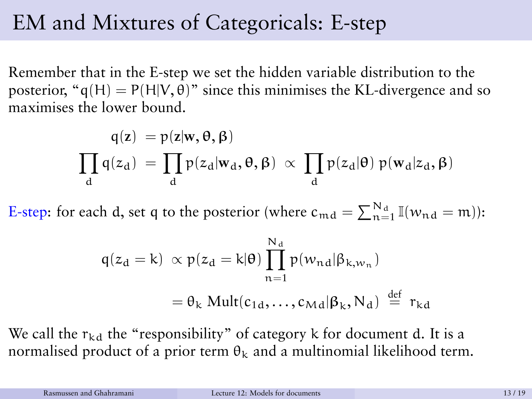### EM and Mixtures of Categoricals: E-step

Remember that in the E-step we set the hidden variable distribution to the posterior, " $q(H) = P(H|V, \theta)$ " since this minimises the KL-divergence and so maximises the lower bound.

$$
q(z) = p(z|w, \theta, \beta)
$$
  

$$
\prod_{d} q(z_d) = \prod_{d} p(z_d|w_d, \theta, \beta) \propto \prod_{d} p(z_d|\theta) p(w_d|z_d, \beta)
$$

E-step: for each d, set q to the posterior (where  $c_{\text{md}} = \sum_{n=1}^{N_d} \mathbb{I}(w_{\text{nd}} = m)$ ):

$$
q(z_d = k) \propto p(z_d = k | \theta) \prod_{n=1}^{N_d} p(w_{nd} | \beta_{k, w_n})
$$
  
=  $\theta_k \text{ Mult}(c_{1d}, \dots, c_{Md} | \beta_k, N_d) \stackrel{\text{def}}{=} r_{kd}$ 

We call the  $r_{kd}$  the "responsibility" of category k for document d. It is a normalised product of a prior term  $\theta_k$  and a multinomial likelihood term.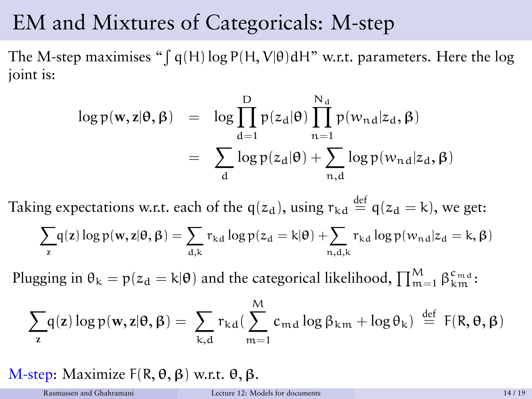#### EM and Mixtures of Categoricals: M-step

The M-step maximises "  $\int q(H) \log P(H, V|\theta) dH$ " w.r.t. parameters. Here the  $\log$ joint is:

$$
\log p(\mathbf{w}, \mathbf{z} | \boldsymbol{\theta}, \boldsymbol{\beta}) = \log \prod_{d=1}^{D} p(z_d | \boldsymbol{\theta}) \prod_{n=1}^{N_d} p(w_{nd} | z_d, \boldsymbol{\beta})
$$

$$
= \sum_{d} \log p(z_d | \boldsymbol{\theta}) + \sum_{n,d} \log p(w_{nd} | z_d, \boldsymbol{\beta})
$$

Taking expectations w.r.t. each of the  $q(z_d)$ , using  $r_{kd} \stackrel{\text{def}}{=} q(z_d = k)$ , we get:

$$
\sum_{z} \! q(z) \log p(\mathbf{w},z | \boldsymbol{\theta},\boldsymbol{\beta}) = \sum_{d,k} r_{kd} \log p(z_d=k | \boldsymbol{\theta}) + \!\! \sum_{n,d,k} r_{kd} \log p(w_{nd} | z_d = k, \boldsymbol{\beta})
$$

Plugging in  $\theta_k = p(z_d = k | \theta)$  and the categorical likelihood,  $\prod_{m=1}^{M} \beta_{k_m}^{c_{m,d}}$ :

$$
\sum_{\mathbf{z}} q(\mathbf{z}) \log p(\mathbf{w}, \mathbf{z} | \boldsymbol{\theta}, \boldsymbol{\beta}) = \sum_{k, d} r_{kd} (\sum_{m=1}^{M} c_{md} \log \beta_{km} + \log \theta_{k}) \stackrel{\text{def}}{=} F(R, \boldsymbol{\theta}, \boldsymbol{\beta})
$$

M-step: Maximize  $F(R, \theta, \beta)$  w.r.t.  $\theta, \beta$ .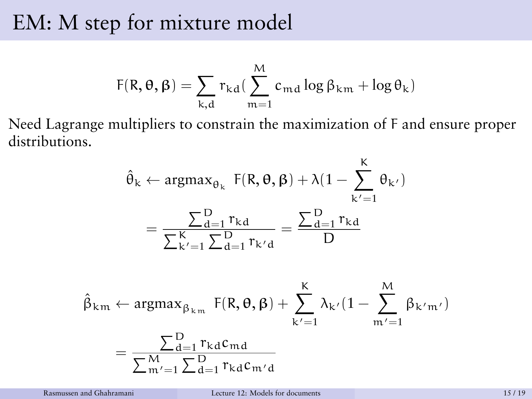#### EM: M step for mixture model

$$
F(R,\theta,\beta)=\sum_{k,d}r_{kd}(\sum_{m=1}^Mc_{md}\log\beta_{km}+\log\theta_k)
$$

Need Lagrange multipliers to constrain the maximization of F and ensure proper distributions.

$$
\hat{\theta}_{k} \leftarrow \operatorname{argmax}_{\theta_{k}} F(R, \theta, \beta) + \lambda (1 - \sum_{k'=1}^{K} \theta_{k'})
$$

$$
= \frac{\sum_{d=1}^{D} r_{kd}}{\sum_{k'=1}^{K} \sum_{d=1}^{D} r_{k'd}} = \frac{\sum_{d=1}^{D} r_{kd}}{D}
$$

 $\overline{ }$ 

$$
\hat{\beta}_{km} \leftarrow \operatorname{argmax}_{\beta_{km}} F(R, \theta, \beta) + \sum_{k'=1}^{K} \lambda_{k'} (1 - \sum_{m'=1}^{M} \beta_{k'm'})
$$

$$
= \frac{\sum_{d=1}^{D} r_{kd} c_{md}}{\sum_{m'=1}^{M} \sum_{d=1}^{D} r_{kd} c_{m'd}}
$$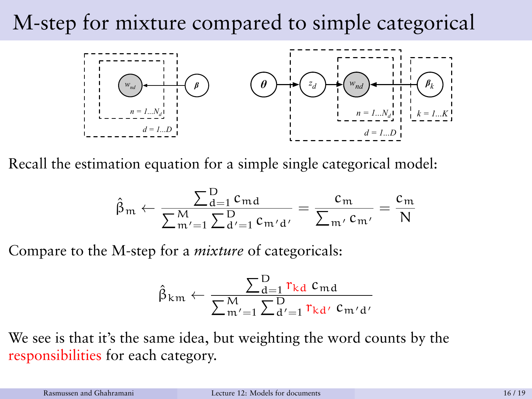## M-step for mixture compared to simple categorical



Recall the estimation equation for a simple single categorical model:

$$
\hat{\beta}_m \leftarrow \frac{\sum_{d=1}^D c_{md}}{\sum_{m'=1}^M \sum_{d'=1}^D c_{m'd'}} = \frac{c_m}{\sum_{m'} c_{m'}} = \frac{c_m}{N}
$$

Compare to the M-step for a *mixture* of categoricals:

$$
\hat{\beta}_{km} \leftarrow \frac{\sum_{d=1}^{D} r_{kd} c_{md}}{\sum_{m'=1}^{M} \sum_{d'=1}^{D} r_{kd'} c_{m'd'}}
$$

We see is that it's the same idea, but weighting the word counts by the responsibilities for each category.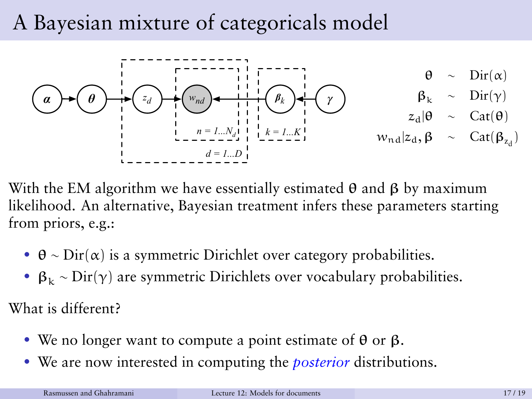## A Bayesian mixture of categoricals model



With the EM algorithm we have essentially estimated  $\theta$  and  $\beta$  by maximum likelihood. An alternative, Bayesian treatment infers these parameters starting from priors, e.g.:

- $\theta \sim \text{Dir}(\alpha)$  is a symmetric Dirichlet over category probabilities.
- $\beta_k \sim \text{Dir}(\gamma)$  are symmetric Dirichlets over vocabulary probabilities.

What is different?

- We no longer want to compute a point estimate of  $\theta$  or  $\beta$ .
- We are now interested in computing the *posterior* distributions.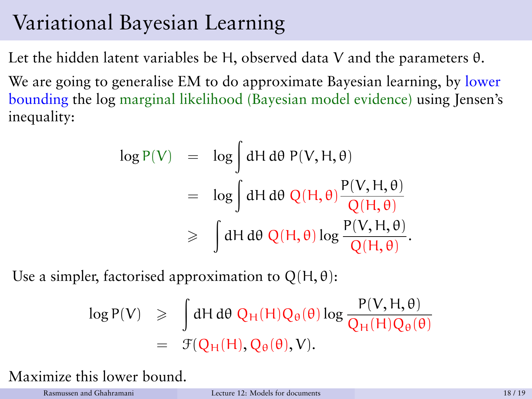## Variational Bayesian Learning

Let the hidden latent variables be H, observed data V and the parameters θ.

We are going to generalise EM to do approximate Bayesian learning, by lower bounding the log marginal likelihood (Bayesian model evidence) using Jensen's inequality:

$$
\log P(V) = \log \int dH d\theta P(V, H, \theta)
$$
  
=  $\log \int dH d\theta Q(H, \theta) \frac{P(V, H, \theta)}{Q(H, \theta)}$   

$$
\geq \int dH d\theta Q(H, \theta) \log \frac{P(V, H, \theta)}{Q(H, \theta)}.
$$

Use a simpler, factorised approximation to  $Q(H, \theta)$ :

$$
\log P(V) \geq \int dH d\theta \ Q_H(H) Q_{\theta}(\theta) \log \frac{P(V, H, \theta)}{Q_H(H) Q_{\theta}(\theta)}
$$
  
=  $\mathcal{F}(Q_H(H), Q_{\theta}(\theta), V).$ 

Maximize this lower bound.